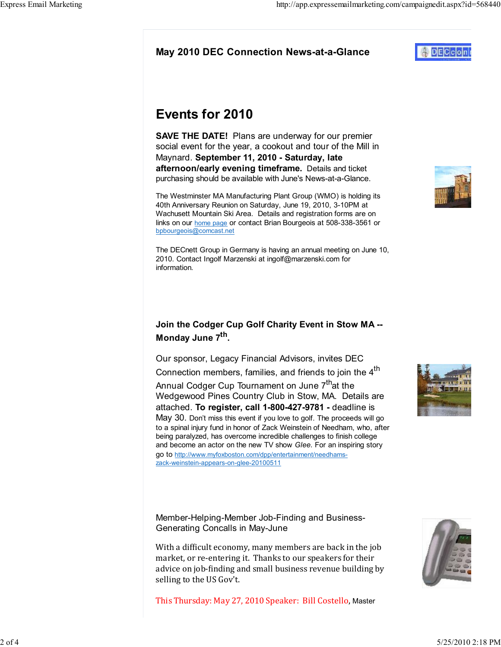This Thursday: May 27, 2010 Speaker: Bill Costello, Master

market, or re-entering it. Thanks to our speakers for their

Member-Helping-Member Job-Finding and Business-

Generating Concalls in May-June

selling to the US Gov't.

### May 2010 DEC Connection News-at-a-Glance

# Events for 2010

SAVE THE DATE! Plans are underway for our premier social event for the year, a cookout and tour of the Mill in Maynard. September 11, 2010 - Saturday, late afternoon/early evening timeframe. Details and ticket purchasing should be available with June's News-at-a-Glance.

The Westminster MA Manufacturing Plant Group (WMO) is holding its 40th Anniversary Reunion on Saturday, June 19, 2010, 3-10PM at Wachusett Mountain Ski Area. Details and registration forms are on links on our home page or contact Brian Bourgeois at 508-338-3561 or bpbourgeois@comcast.net

The DECnett Group in Germany is having an annual meeting on June 10, 2010. Contact Ingolf Marzenski at ingolf@marzenski.com for information.

# Join the Codger Cup Golf Charity Event in Stow MA -- Monday June 7<sup>th</sup>.

Our sponsor, Legacy Financial Advisors, invites DEC Connection members, families, and friends to join the 4<sup>th</sup>

Annual Codger Cup Tournament on June 7<sup>th</sup>at the Wedgewood Pines Country Club in Stow, MA. Details are attached. To register, call 1-800-427-9781 - deadline is May 30. Don't miss this event if you love to golf. The proceeds will go to a spinal injury fund in honor of Zack Weinstein of Needham, who, after being paralyzed, has overcome incredible challenges to finish college and become an actor on the new TV show Glee. For an inspiring story go to http://www.myfoxboston.com/dpp/entertainment/needhamszack-weinstein-appears-on-glee-20100511

With a difficult economy, many members are back in the job advice on job-finding and small business revenue building by







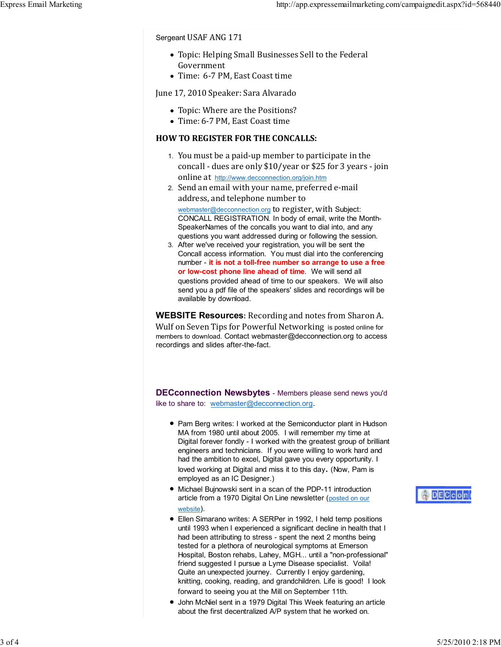#### Sergeant USAF ANG 171

- Topic: Helping Small Businesses Sell to the Federal Government
- Time: 6-7 PM, East Coast time

#### June 17, 2010 Speaker: Sara Alvarado

- Topic: Where are the Positions?
- Time: 6-7 PM, East Coast time

#### HOW TO REGISTER FOR THE CONCALLS:

- 1. You must be a paid-up member to participate in the concall - dues are only \$10/year or \$25 for 3 years - join online at http://www.decconnection.org/join.htm
- 2. Send an email with your name, preferred e-mail address, and telephone number to webmaster@decconnection.org to register, with Subject: CONCALL REGISTRATION. In body of email, write the Month-SpeakerNames of the concalls you want to dial into, and any questions you want addressed during or following the session.
- After we've received your registration, you will be sent the 3. Concall access information. You must dial into the conferencing number - it is not a toll-free number so arrange to use a free or low-cost phone line ahead of time. We will send all questions provided ahead of time to our speakers. We will also send you a pdf file of the speakers' slides and recordings will be available by download.

WEBSITE Resources: Recording and notes from Sharon A. Wulf on Seven Tips for Powerful Networking is posted online for members to download. Contact webmaster@decconnection.org to access recordings and slides after-the-fact.

**DECconnection Newsbytes** - Members please send news you'd like to share to: webmaster@decconnection.org.

- Pam Berg writes: I worked at the Semiconductor plant in Hudson MA from 1980 until about 2005. I will remember my time at Digital forever fondly - I worked with the greatest group of brilliant engineers and technicians. If you were willing to work hard and had the ambition to excel, Digital gave you every opportunity. I loved working at Digital and miss it to this day. (Now, Pam is employed as an IC Designer.)
- Michael Bujnowski sent in a scan of the PDP-11 introduction article from a 1970 Digital On Line newsletter (posted on our website).
- Ellen Simarano writes: A SERPer in 1992, I held temp positions until 1993 when I experienced a significant decline in health that I had been attributing to stress - spent the next 2 months being tested for a plethora of neurological symptoms at Emerson Hospital, Boston rehabs, Lahey, MGH... until a "non-professional" friend suggested I pursue a Lyme Disease specialist. Voila! Quite an unexpected journey. Currently I enjoy gardening, knitting, cooking, reading, and grandchildren. Life is good! I look forward to seeing you at the Mill on September 11th.
- John McNiel sent in a 1979 Digital This Week featuring an article about the first decentralized A/P system that he worked on.

# **ADECcon**